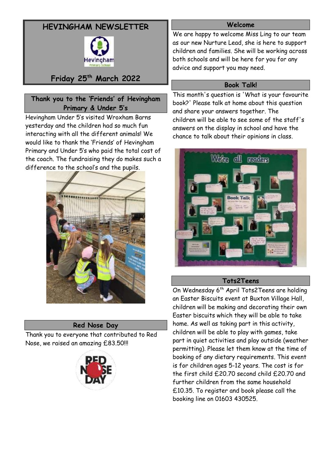# **HEVINGHAM NEWSLETTER**



## **Friday 25th March 2022**

## **Thank you to the 'Friends' of Hevingham Primary & Under 5's**

Hevingham Under 5's visited Wroxham Barns yesterday and the children had so much fun interacting with all the different animals! We would like to thank the 'Friends' of Hevingham Primary and Under 5's who paid the total cost of the coach. The fundraising they do makes such a difference to the school's and the pupils.



## **Red Nose Day**

Thank you to everyone that contributed to Red Nose, we raised an amazing £83.50!!!



#### **Welcome**

We are happy to welcome Miss Ling to our team as our new Nurture Lead, she is here to support children and families. She will be working across both schools and will be here for you for any advice and support you may need.

## **Book Talk!**

This month's question is 'What is your favourite book?' Please talk at home about this question and share your answers together. The children will be able to see some of the staff's answers on the display in school and have the chance to talk about their opinions in class.



## **Tots2Teens**

On Wednesday 6<sup>th</sup> April Tots2Teens are holding an Easter Biscuits event at Buxton Village Hall, children will be making and decorating their own Easter biscuits which they will be able to take home. As well as taking part in this activity, children will be able to play with games, take part in quiet activities and play outside (weather permitting). Please let them know at the time of booking of any dietary requirements. This event is for children ages 5-12 years. The cost is for the first child £20.70 second child £20.70 and further children from the same household £10.35. To register and book please call the booking line on 01603 430525.